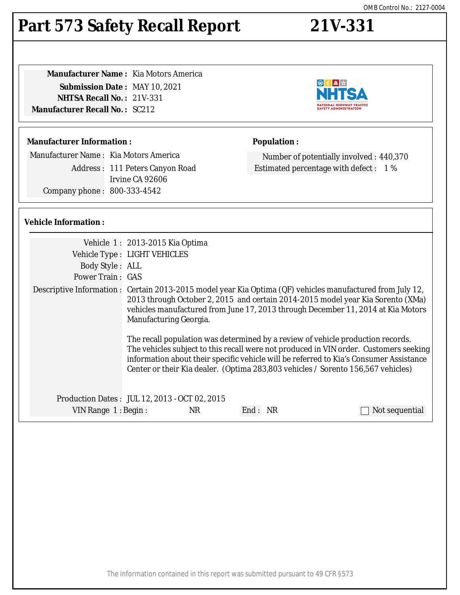### The information contained in this report was submitted pursuant to 49 CFR §573

# **Part 573 Safety Recall Report 21V-331**

| <b>Manufacturer Name:</b> Kia Motors America |  |
|----------------------------------------------|--|
| <b>Submission Date: MAY 10, 2021</b>         |  |
| <b>NHTSA Recall No.: 21V-331</b>             |  |
| <b>Manufacturer Recall No. :</b> SC212       |  |
|                                              |  |

# **Manufacturer Information :**

Manufacturer Name : Kia Motors America

Address : 111 Peters Canyon Road Irvine CA 92606 Company phone : 800-333-4542

# **Population :**

Number of potentially involved : 440,370 Estimated percentage with defect : 1 %

# **Vehicle Information :**

|                                               | Vehicle 1: 2013-2015 Kia Optima                                                                                                                                                                                                                                                                             |           |                                                                                                                                                                                                                                                                                                                                                        |                |
|-----------------------------------------------|-------------------------------------------------------------------------------------------------------------------------------------------------------------------------------------------------------------------------------------------------------------------------------------------------------------|-----------|--------------------------------------------------------------------------------------------------------------------------------------------------------------------------------------------------------------------------------------------------------------------------------------------------------------------------------------------------------|----------------|
|                                               | Vehicle Type : LIGHT VEHICLES                                                                                                                                                                                                                                                                               |           |                                                                                                                                                                                                                                                                                                                                                        |                |
| Body Style: ALL                               |                                                                                                                                                                                                                                                                                                             |           |                                                                                                                                                                                                                                                                                                                                                        |                |
| <b>Power Train: GAS</b>                       |                                                                                                                                                                                                                                                                                                             |           |                                                                                                                                                                                                                                                                                                                                                        |                |
|                                               | Descriptive Information : Certain 2013-2015 model year Kia Optima (QF) vehicles manufactured from July 12,<br>2013 through October 2, 2015 and certain 2014-2015 model year Kia Sorento (XMa)<br>vehicles manufactured from June 17, 2013 through December 11, 2014 at Kia Motors<br>Manufacturing Georgia. |           |                                                                                                                                                                                                                                                                                                                                                        |                |
|                                               |                                                                                                                                                                                                                                                                                                             |           | The recall population was determined by a review of vehicle production records.<br>The vehicles subject to this recall were not produced in VIN order. Customers seeking<br>information about their specific vehicle will be referred to Kia's Consumer Assistance<br>Center or their Kia dealer. (Optima 283,803 vehicles / Sorento 156,567 vehicles) |                |
|                                               |                                                                                                                                                                                                                                                                                                             |           |                                                                                                                                                                                                                                                                                                                                                        |                |
| Production Dates: JUL 12, 2013 - OCT 02, 2015 |                                                                                                                                                                                                                                                                                                             |           |                                                                                                                                                                                                                                                                                                                                                        |                |
| VIN Range 1: Begin:                           |                                                                                                                                                                                                                                                                                                             | <b>NR</b> | End: NR                                                                                                                                                                                                                                                                                                                                                | Not sequential |

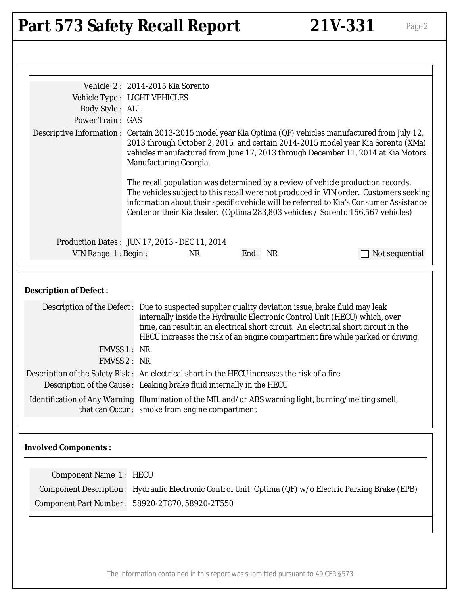# Part 573 Safety Recall Report 21V-331 Page 2

|                                                                                                                                                                                                                                                                                                                                                                                                                                                        | Vehicle 2: 2014-2015 Kia Sorento              |         |                                                                                                                                                                                                                                                                                                                                                        |
|--------------------------------------------------------------------------------------------------------------------------------------------------------------------------------------------------------------------------------------------------------------------------------------------------------------------------------------------------------------------------------------------------------------------------------------------------------|-----------------------------------------------|---------|--------------------------------------------------------------------------------------------------------------------------------------------------------------------------------------------------------------------------------------------------------------------------------------------------------------------------------------------------------|
| Vehicle Type : LIGHT VEHICLES                                                                                                                                                                                                                                                                                                                                                                                                                          |                                               |         |                                                                                                                                                                                                                                                                                                                                                        |
| Body Style: ALL                                                                                                                                                                                                                                                                                                                                                                                                                                        |                                               |         |                                                                                                                                                                                                                                                                                                                                                        |
| <b>Power Train: GAS</b>                                                                                                                                                                                                                                                                                                                                                                                                                                |                                               |         |                                                                                                                                                                                                                                                                                                                                                        |
|                                                                                                                                                                                                                                                                                                                                                                                                                                                        | Manufacturing Georgia.                        |         | Descriptive Information : Certain 2013-2015 model year Kia Optima (QF) vehicles manufactured from July 12,<br>2013 through October 2, 2015 and certain 2014-2015 model year Kia Sorento (XMa)<br>vehicles manufactured from June 17, 2013 through December 11, 2014 at Kia Motors                                                                      |
|                                                                                                                                                                                                                                                                                                                                                                                                                                                        |                                               |         | The recall population was determined by a review of vehicle production records.<br>The vehicles subject to this recall were not produced in VIN order. Customers seeking<br>information about their specific vehicle will be referred to Kia's Consumer Assistance<br>Center or their Kia dealer. (Optima 283,803 vehicles / Sorento 156,567 vehicles) |
|                                                                                                                                                                                                                                                                                                                                                                                                                                                        | Production Dates: JUN 17, 2013 - DEC 11, 2014 |         |                                                                                                                                                                                                                                                                                                                                                        |
| VIN Range 1: Begin:                                                                                                                                                                                                                                                                                                                                                                                                                                    | <b>NR</b>                                     | End: NR | Not sequential                                                                                                                                                                                                                                                                                                                                         |
| <b>Description of Defect:</b><br>Description of the Defect: Due to suspected supplier quality deviation issue, brake fluid may leak<br>FMVSS 1 : NR<br>FMVSS 2: NR<br>Description of the Safety Risk: An electrical short in the HECU increases the risk of a fire.<br>Description of the Cause : Leaking brake fluid internally in the HECU<br>Identification of Any Warning Illumination of the MIL and/or ABS warning light, burning/melting smell, | that can Occur: smoke from engine compartment |         | internally inside the Hydraulic Electronic Control Unit (HECU) which, over<br>time, can result in an electrical short circuit. An electrical short circuit in the<br>HECU increases the risk of an engine compartment fire while parked or driving.                                                                                                    |
| <b>Involved Components:</b>                                                                                                                                                                                                                                                                                                                                                                                                                            |                                               |         |                                                                                                                                                                                                                                                                                                                                                        |
| <b>Component Name 1: HECU</b>                                                                                                                                                                                                                                                                                                                                                                                                                          |                                               |         |                                                                                                                                                                                                                                                                                                                                                        |
|                                                                                                                                                                                                                                                                                                                                                                                                                                                        |                                               |         | Component Description : Hydraulic Electronic Control Unit: Optima (QF) w/o Electric Parking Brake (EPB)                                                                                                                                                                                                                                                |
|                                                                                                                                                                                                                                                                                                                                                                                                                                                        |                                               |         |                                                                                                                                                                                                                                                                                                                                                        |
| Component Part Number: 58920-2T870, 58920-2T550                                                                                                                                                                                                                                                                                                                                                                                                        |                                               |         |                                                                                                                                                                                                                                                                                                                                                        |
|                                                                                                                                                                                                                                                                                                                                                                                                                                                        |                                               |         |                                                                                                                                                                                                                                                                                                                                                        |
|                                                                                                                                                                                                                                                                                                                                                                                                                                                        |                                               |         |                                                                                                                                                                                                                                                                                                                                                        |

The information contained in this report was submitted pursuant to 49 CFR §573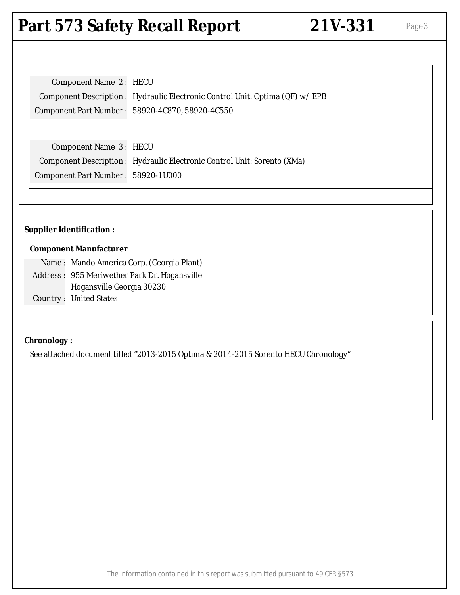# Part 573 Safety Recall Report 21V-331 Page 3

| Component Name 2: HECU |                                                                               |
|------------------------|-------------------------------------------------------------------------------|
|                        | Component Description : Hydraulic Electronic Control Unit: Optima (QF) w/ EPB |
|                        | Component Part Number: 58920-4C870, 58920-4C550                               |

Component Name 3 : HECU Component Description : Hydraulic Electronic Control Unit: Sorento (XMa) Component Part Number : 58920-1U000

### **Supplier Identification :**

#### **Component Manufacturer**

Name : Mando America Corp. (Georgia Plant) Address : 955 Meriwether Park Dr. Hogansville Hogansville Georgia 30230 Country : United States

# **Chronology :**

See attached document titled "2013-2015 Optima & 2014-2015 Sorento HECU Chronology"